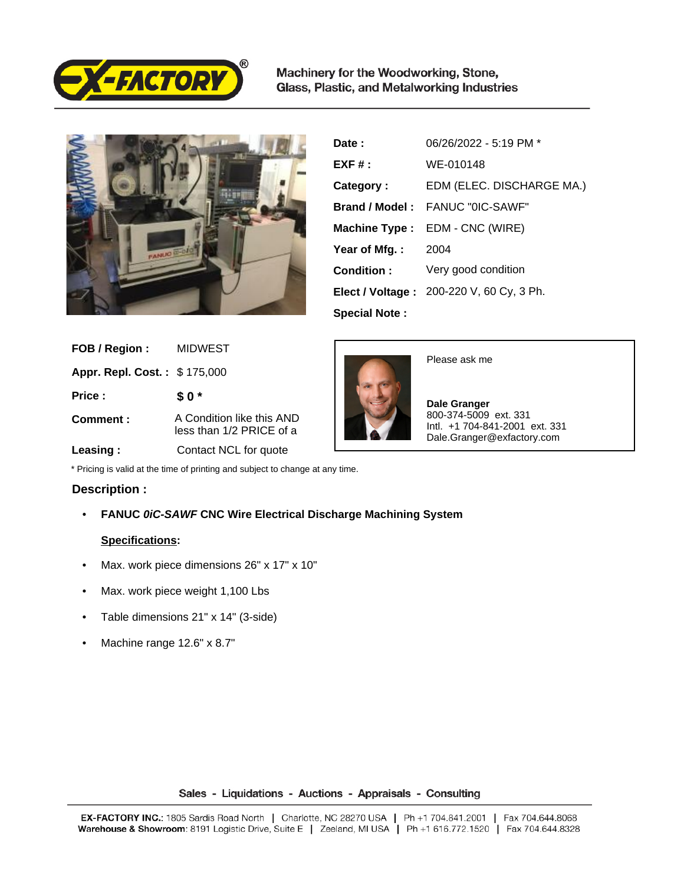

Machinery for the Woodworking, Stone, Glass, Plastic, and Metalworking Industries



| Date:                | 06/26/2022 - 5:19 PM *                   |
|----------------------|------------------------------------------|
| $EXF#$ :             | WE-010148                                |
| Category:            | EDM (ELEC. DISCHARGE MA.)                |
|                      | <b>Brand / Model: FANUC "OIC-SAWE"</b>   |
|                      | Machine Type : EDM - CNC (WIRE)          |
| Year of Mfg.:        | 2004                                     |
| Condition:           | Very good condition                      |
|                      | Elect / Voltage: 200-220 V, 60 Cy, 3 Ph. |
| <b>Special Note:</b> |                                          |

| FOB / Region:                | MIDWEST                                               |
|------------------------------|-------------------------------------------------------|
| Appr. Repl. Cost.: \$175,000 |                                                       |
| Price:                       | \$0*                                                  |
| Comment:                     | A Condition like this AND<br>less than 1/2 PRICE of a |
| Leasing:                     | Contact NCL for quote                                 |



Please ask me

 **Dale Granger** 800-374-5009 ext. 331 Intl. +1 704-841-2001 ext. 331 Dale.Granger@exfactory.com

\* Pricing is valid at the time of printing and subject to change at any time.

## **Description :**

• **FANUC 0iC-SAWF CNC Wire Electrical Discharge Machining System**

## **Specifications:**

- Max. work piece dimensions 26" x 17" x 10"
- Max. work piece weight 1,100 Lbs
- Table dimensions 21" x 14" (3-side)
- Machine range 12.6" x 8.7"

## Sales - Liquidations - Auctions - Appraisals - Consulting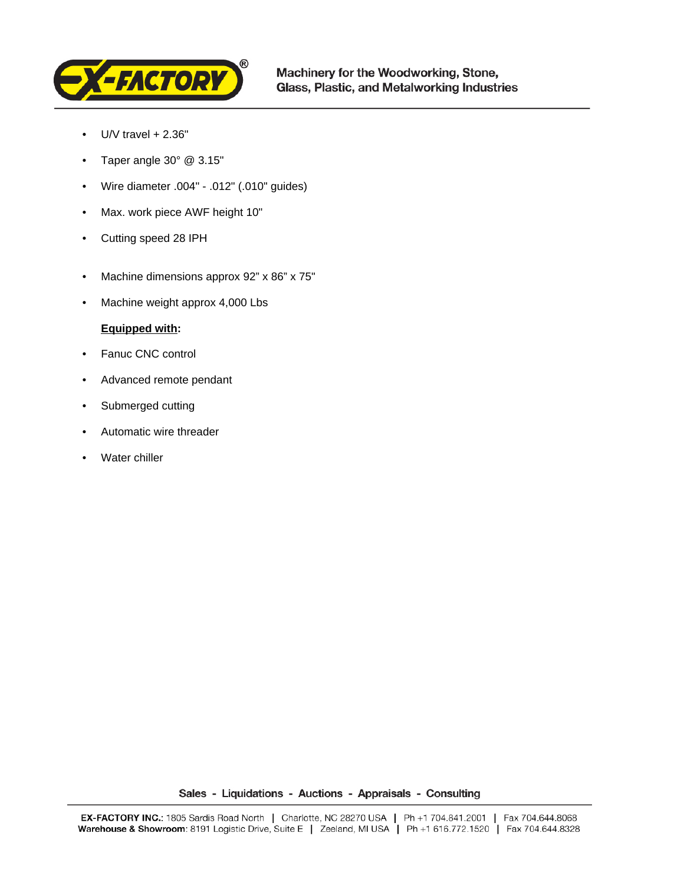

- $\bullet$  U/V travel  $+ 2.36"$
- Taper angle 30° @ 3.15"
- Wire diameter .004" .012" (.010" guides)
- Max. work piece AWF height 10"
- Cutting speed 28 IPH
- Machine dimensions approx 92" x 86" x 75"
- Machine weight approx 4,000 Lbs

## **Equipped with:**

- Fanuc CNC control
- Advanced remote pendant
- Submerged cutting
- Automatic wire threader
- Water chiller

Sales - Liquidations - Auctions - Appraisals - Consulting